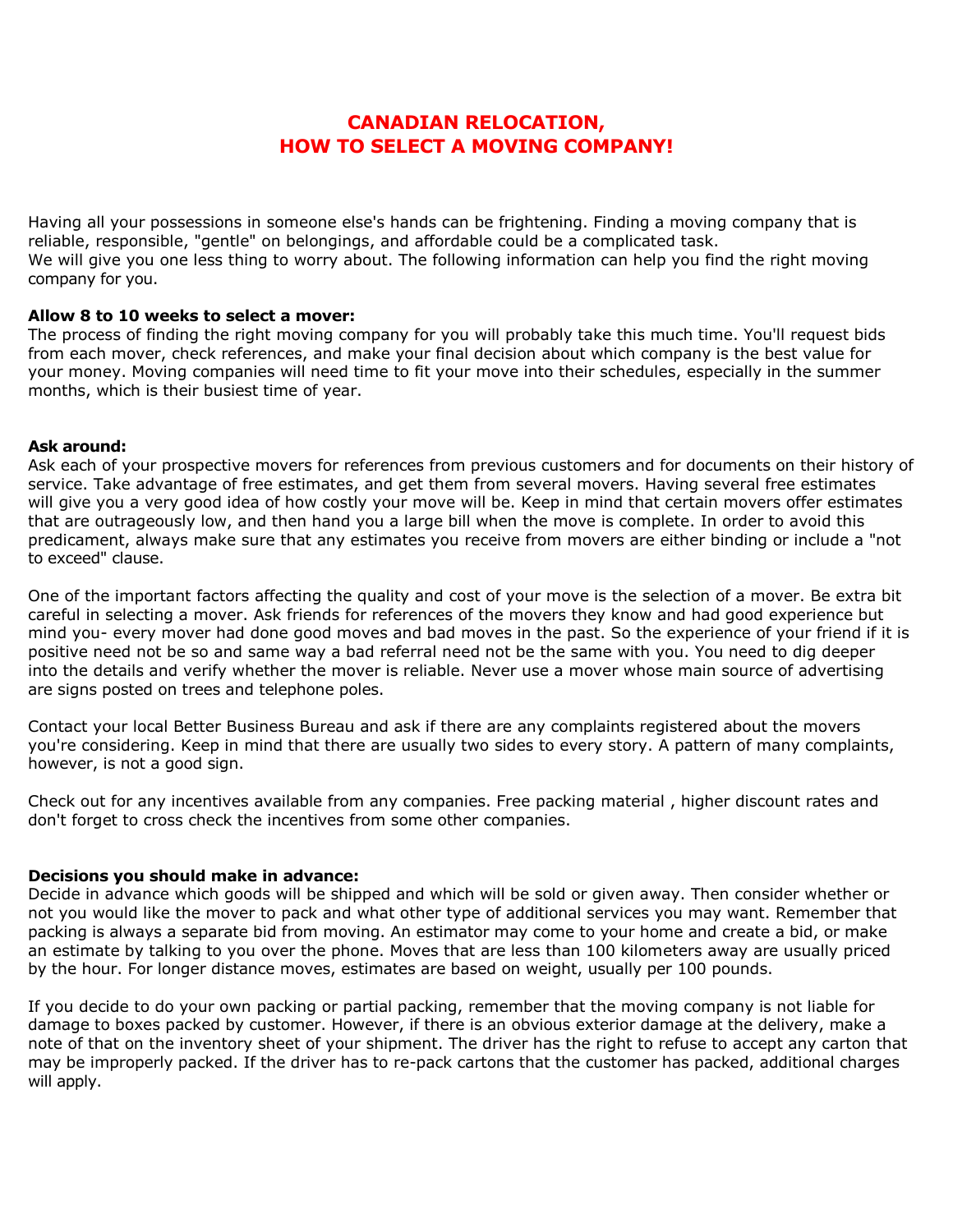# **CANADIAN RELOCATION, HOW TO SELECT A MOVING COMPANY!**

Having all your possessions in someone else's hands can be frightening. Finding a moving company that is reliable, responsible, "gentle" on belongings, and affordable could be a complicated task. We will give you one less thing to worry about. The following information can help you find the right moving company for you.

## **Allow 8 to 10 weeks to select a mover:**

The process of finding the right moving company for you will probably take this much time. You'll request bids from each mover, check references, and make your final decision about which company is the best value for your money. Moving companies will need time to fit your move into their schedules, especially in the summer months, which is their busiest time of year.

#### **Ask around:**

Ask each of your prospective movers for references from previous customers and for documents on their history of service. Take advantage of free estimates, and get them from several movers. Having several free estimates will give you a very good idea of how costly your move will be. Keep in mind that certain movers offer estimates that are outrageously low, and then hand you a large bill when the move is complete. In order to avoid this predicament, always make sure that any estimates you receive from movers are either binding or include a "not to exceed" clause.

One of the important factors affecting the quality and cost of your move is the selection of a mover. Be extra bit careful in selecting a mover. Ask friends for references of the movers they know and had good experience but mind you- every mover had done good moves and bad moves in the past. So the experience of your friend if it is positive need not be so and same way a bad referral need not be the same with you. You need to dig deeper into the details and verify whether the mover is reliable. Never use a mover whose main source of advertising are signs posted on trees and telephone poles.

Contact your local Better Business Bureau and ask if there are any complaints registered about the movers you're considering. Keep in mind that there are usually two sides to every story. A pattern of many complaints, however, is not a good sign.

Check out for any incentives available from any companies. Free packing material , higher discount rates and don't forget to cross check the incentives from some other companies.

## **Decisions you should make in advance:**

Decide in advance which goods will be shipped and which will be sold or given away. Then consider whether or not you would like the mover to pack and what other type of additional services you may want. Remember that packing is always a separate bid from moving. An estimator may come to your home and create a bid, or make an estimate by talking to you over the phone. Moves that are less than 100 kilometers away are usually priced by the hour. For longer distance moves, estimates are based on weight, usually per 100 pounds.

If you decide to do your own packing or partial packing, remember that the moving company is not liable for damage to boxes packed by customer. However, if there is an obvious exterior damage at the delivery, make a note of that on the inventory sheet of your shipment. The driver has the right to refuse to accept any carton that may be improperly packed. If the driver has to re-pack cartons that the customer has packed, additional charges will apply.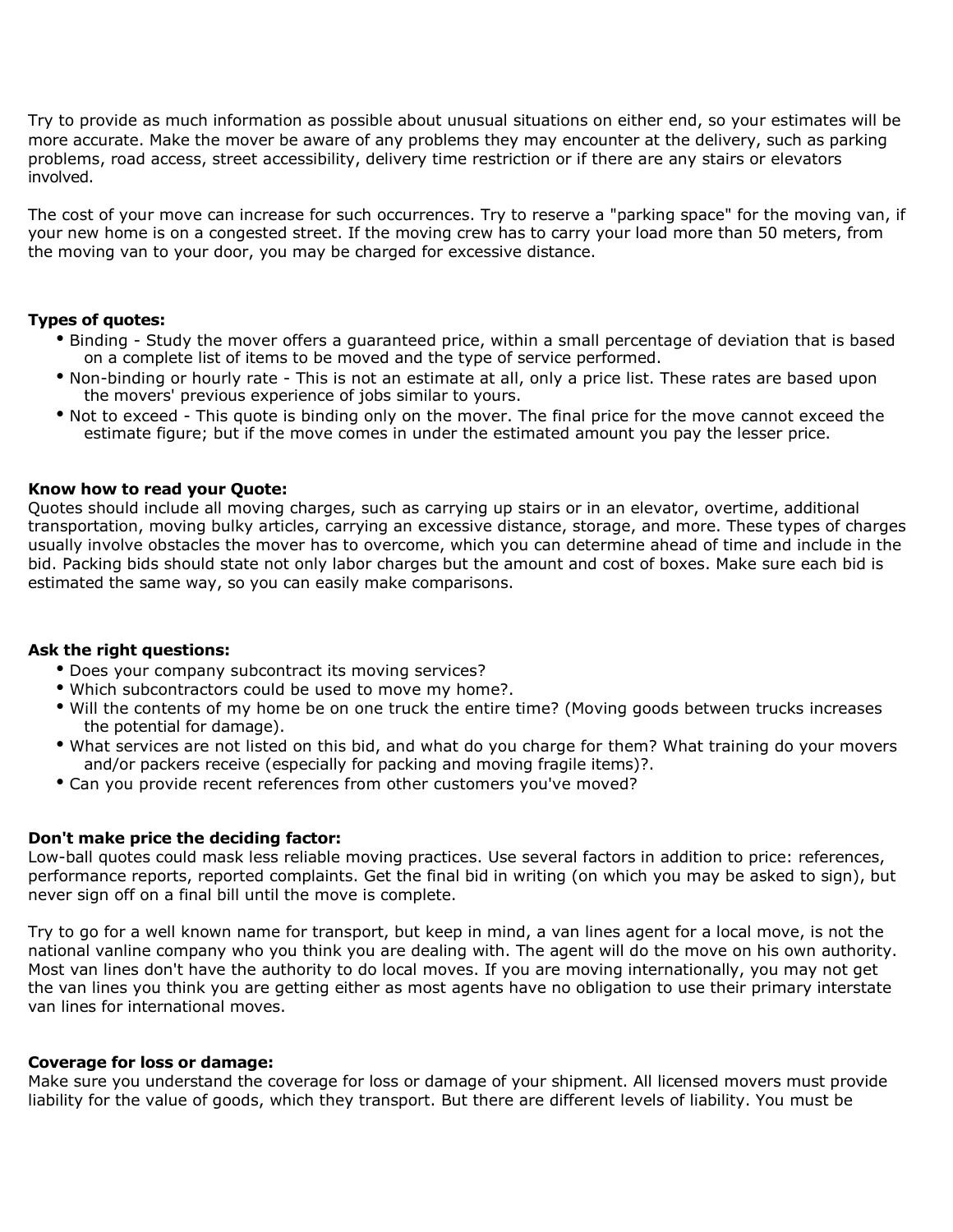Try to provide as much information as possible about unusual situations on either end, so your estimates will be more accurate. Make the mover be aware of any problems they may encounter at the delivery, such as parking problems, road access, street accessibility, delivery time restriction or if there are any stairs or elevators involved.

The cost of your move can increase for such occurrences. Try to reserve a "parking space" for the moving van, if your new home is on a congested street. If the moving crew has to carry your load more than 50 meters, from the moving van to your door, you may be charged for excessive distance.

## **Types of quotes:**

- Binding Study the mover offers a guaranteed price, within a small percentage of deviation that is based on a complete list of items to be moved and the type of service performed.
- Non-binding or hourly rate This is not an estimate at all, only a price list. These rates are based upon the movers' previous experience of jobs similar to yours.
- Not to exceed This quote is binding only on the mover. The final price for the move cannot exceed the estimate figure; but if the move comes in under the estimated amount you pay the lesser price.

## **Know how to read your Quote:**

Quotes should include all moving charges, such as carrying up stairs or in an elevator, overtime, additional transportation, moving bulky articles, carrying an excessive distance, storage, and more. These types of charges usually involve obstacles the mover has to overcome, which you can determine ahead of time and include in the bid. Packing bids should state not only labor charges but the amount and cost of boxes. Make sure each bid is estimated the same way, so you can easily make comparisons.

## **Ask the right questions:**

- Does your company subcontract its moving services?
- Which subcontractors could be used to move my home?.
- Will the contents of my home be on one truck the entire time? (Moving goods between trucks increases the potential for damage).
- What services are not listed on this bid, and what do you charge for them? What training do your movers and/or packers receive (especially for packing and moving fragile items)?.
- Can you provide recent references from other customers you've moved?

## **Don't make price the deciding factor:**

Low-ball quotes could mask less reliable moving practices. Use several factors in addition to price: references, performance reports, reported complaints. Get the final bid in writing (on which you may be asked to sign), but never sign off on a final bill until the move is complete.

Try to go for a well known name for transport, but keep in mind, a van lines agent for a local move, is not the national vanline company who you think you are dealing with. The agent will do the move on his own authority. Most van lines don't have the authority to do local moves. If you are moving internationally, you may not get the van lines you think you are getting either as most agents have no obligation to use their primary interstate van lines for international moves.

## **Coverage for loss or damage:**

Make sure you understand the coverage for loss or damage of your shipment. All licensed movers must provide liability for the value of goods, which they transport. But there are different levels of liability. You must be